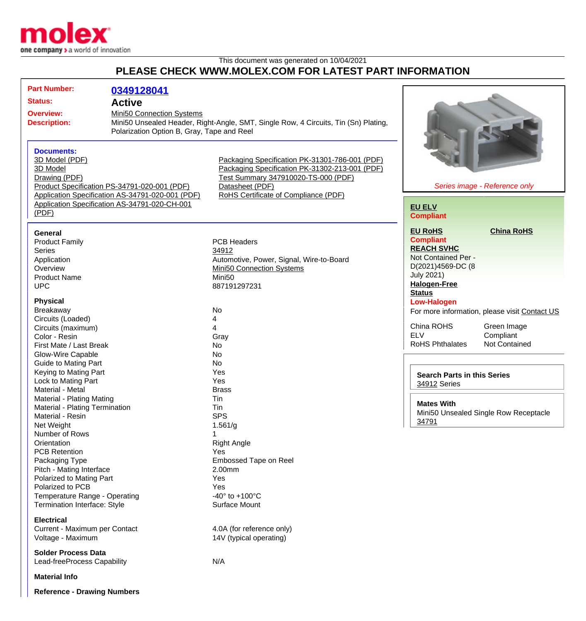

## This document was generated on 10/04/2021 **PLEASE CHECK WWW.MOLEX.COM FOR LATEST PART INFORMATION**

| <b>Part Number:</b><br><b>Status:</b><br><b>Overview:</b><br><b>Description:</b>                                                                                                                                               | 0349128041<br><b>Active</b><br>Mini50 Connection Systems<br>Polarization Option B, Gray, Tape and Reel | Mini50 Unsealed Header, Right-Angle, SMT, Single Row, 4 Circuits, Tin (Sn) Plating,                                                                                                                |                                                                                                                                                                                        |                                                                    |
|--------------------------------------------------------------------------------------------------------------------------------------------------------------------------------------------------------------------------------|--------------------------------------------------------------------------------------------------------|----------------------------------------------------------------------------------------------------------------------------------------------------------------------------------------------------|----------------------------------------------------------------------------------------------------------------------------------------------------------------------------------------|--------------------------------------------------------------------|
| <b>Documents:</b><br>3D Model (PDF)<br>3D Model<br>Drawing (PDF)<br>Product Specification PS-34791-020-001 (PDF)<br>Application Specification AS-34791-020-001 (PDF)<br>Application Specification AS-34791-020-CH-001<br>(PDF) |                                                                                                        | Packaging Specification PK-31301-786-001 (PDF)<br>Packaging Specification PK-31302-213-001 (PDF)<br>Test Summary 347910020-TS-000 (PDF)<br>Datasheet (PDF)<br>RoHS Certificate of Compliance (PDF) | Series image - Reference only<br><b>EU ELV</b><br><b>Compliant</b>                                                                                                                     |                                                                    |
| <b>General</b><br><b>Product Family</b><br><b>Series</b><br>Application<br>Overview<br><b>Product Name</b><br><b>UPC</b><br><b>Physical</b><br>Breakaway                                                                       |                                                                                                        | <b>PCB Headers</b><br>34912<br>Automotive, Power, Signal, Wire-to-Board<br><b>Mini50 Connection Systems</b><br>Mini <sub>50</sub><br>887191297231<br><b>No</b>                                     | <b>EU RoHS</b><br><b>Compliant</b><br><b>REACH SVHC</b><br>Not Contained Per -<br>D(2021)4569-DC (8<br><b>July 2021)</b><br><b>Halogen-Free</b><br><b>Status</b><br><b>Low-Halogen</b> | <b>China RoHS</b><br>For more information, please visit Contact US |
| Circuits (Loaded)<br>Circuits (maximum)<br>Color - Resin<br>First Mate / Last Break<br><b>Glow-Wire Capable</b>                                                                                                                |                                                                                                        | 4<br>4<br>Gray<br>No<br>No                                                                                                                                                                         | China ROHS<br><b>ELV</b><br><b>RoHS Phthalates</b>                                                                                                                                     | Green Image<br>Compliant<br>Not Contained                          |
| <b>Guide to Mating Part</b><br>Keying to Mating Part<br>Lock to Mating Part<br>Material - Metal<br>Material - Plating Mating                                                                                                   |                                                                                                        | No<br>Yes<br>Yes<br><b>Brass</b><br>Tin                                                                                                                                                            | <b>Search Parts in this Series</b><br>34912 Series<br><b>Mates With</b>                                                                                                                |                                                                    |
| Material - Plating Termination<br>Material - Resin<br>Net Weight<br>Number of Rows<br>Orientation<br><b>PCB Retention</b><br>Packaging Type<br>Pitch - Mating Interface                                                        |                                                                                                        | Tin<br><b>SPS</b><br>1.561/g<br><b>Right Angle</b><br>Yes<br>Embossed Tape on Reel<br>2.00mm                                                                                                       | 34791                                                                                                                                                                                  | Mini50 Unsealed Single Row Receptacle                              |
| Polarized to Mating Part<br>Polarized to PCB<br>Temperature Range - Operating<br><b>Termination Interface: Style</b><br><b>Electrical</b><br>Current - Maximum per Contact                                                     |                                                                                                        | Yes<br>Yes<br>$-40^{\circ}$ to $+100^{\circ}$ C<br>Surface Mount<br>4.0A (for reference only)                                                                                                      |                                                                                                                                                                                        |                                                                    |
| Voltage - Maximum<br><b>Solder Process Data</b><br>Lead-freeProcess Capability<br><b>Material Info</b>                                                                                                                         |                                                                                                        | 14V (typical operating)<br>N/A                                                                                                                                                                     |                                                                                                                                                                                        |                                                                    |

**Reference - Drawing Numbers**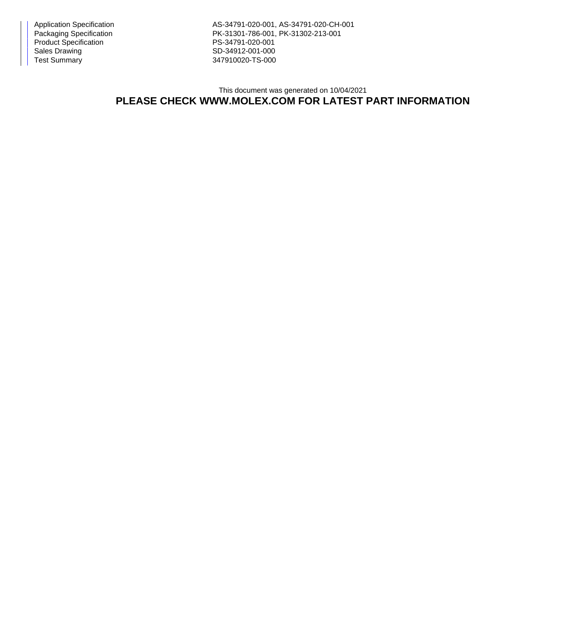Product Specification PS-34791-020-001<br>Sales Drawing PS-34912-001-000 Test Summary 347910020-TS-000

Application Specification AS-34791-020-001, AS-34791-020-CH-001 PK-31301-786-001, PK-31302-213-001 SD-34912-001-000

## This document was generated on 10/04/2021 **PLEASE CHECK WWW.MOLEX.COM FOR LATEST PART INFORMATION**